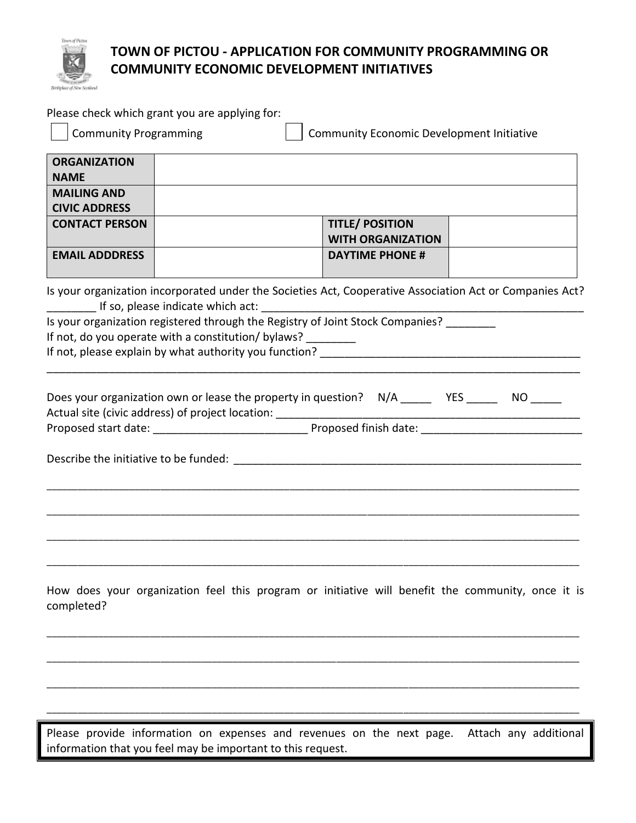

## **TOWN OF PICTOU - APPLICATION FOR COMMUNITY PROGRAMMING OR COMMUNITY ECONOMIC DEVELOPMENT INITIATIVES**

| <b>ORGANIZATION</b><br><b>NAME</b>                           |                                                                                                                                                                                |
|--------------------------------------------------------------|--------------------------------------------------------------------------------------------------------------------------------------------------------------------------------|
| <b>MAILING AND</b><br><b>CIVIC ADDRESS</b>                   |                                                                                                                                                                                |
| <b>CONTACT PERSON</b>                                        | <b>TITLE/ POSITION</b><br><b>WITH ORGANIZATION</b>                                                                                                                             |
| <b>EMAIL ADDDRESS</b>                                        | <b>DAYTIME PHONE #</b>                                                                                                                                                         |
|                                                              | Is your organization incorporated under the Societies Act, Cooperative Association Act or Companies Act?                                                                       |
|                                                              | If so, please indicate which act: International Life So, please indicate which act:<br>Is your organization registered through the Registry of Joint Stock Companies? ________ |
| If not, do you operate with a constitution/ bylaws? ________ |                                                                                                                                                                                |
|                                                              |                                                                                                                                                                                |
|                                                              |                                                                                                                                                                                |
|                                                              |                                                                                                                                                                                |
|                                                              | Does your organization own or lease the property in question? N/A ______ YES _____ NO _____                                                                                    |
|                                                              |                                                                                                                                                                                |
|                                                              |                                                                                                                                                                                |
|                                                              |                                                                                                                                                                                |
|                                                              |                                                                                                                                                                                |
|                                                              |                                                                                                                                                                                |
|                                                              |                                                                                                                                                                                |
|                                                              |                                                                                                                                                                                |
|                                                              |                                                                                                                                                                                |
|                                                              |                                                                                                                                                                                |
|                                                              |                                                                                                                                                                                |
|                                                              |                                                                                                                                                                                |
|                                                              | How does your organization feel this program or initiative will benefit the community, once it is                                                                              |
| completed?                                                   |                                                                                                                                                                                |
|                                                              |                                                                                                                                                                                |
|                                                              |                                                                                                                                                                                |
|                                                              |                                                                                                                                                                                |
|                                                              |                                                                                                                                                                                |